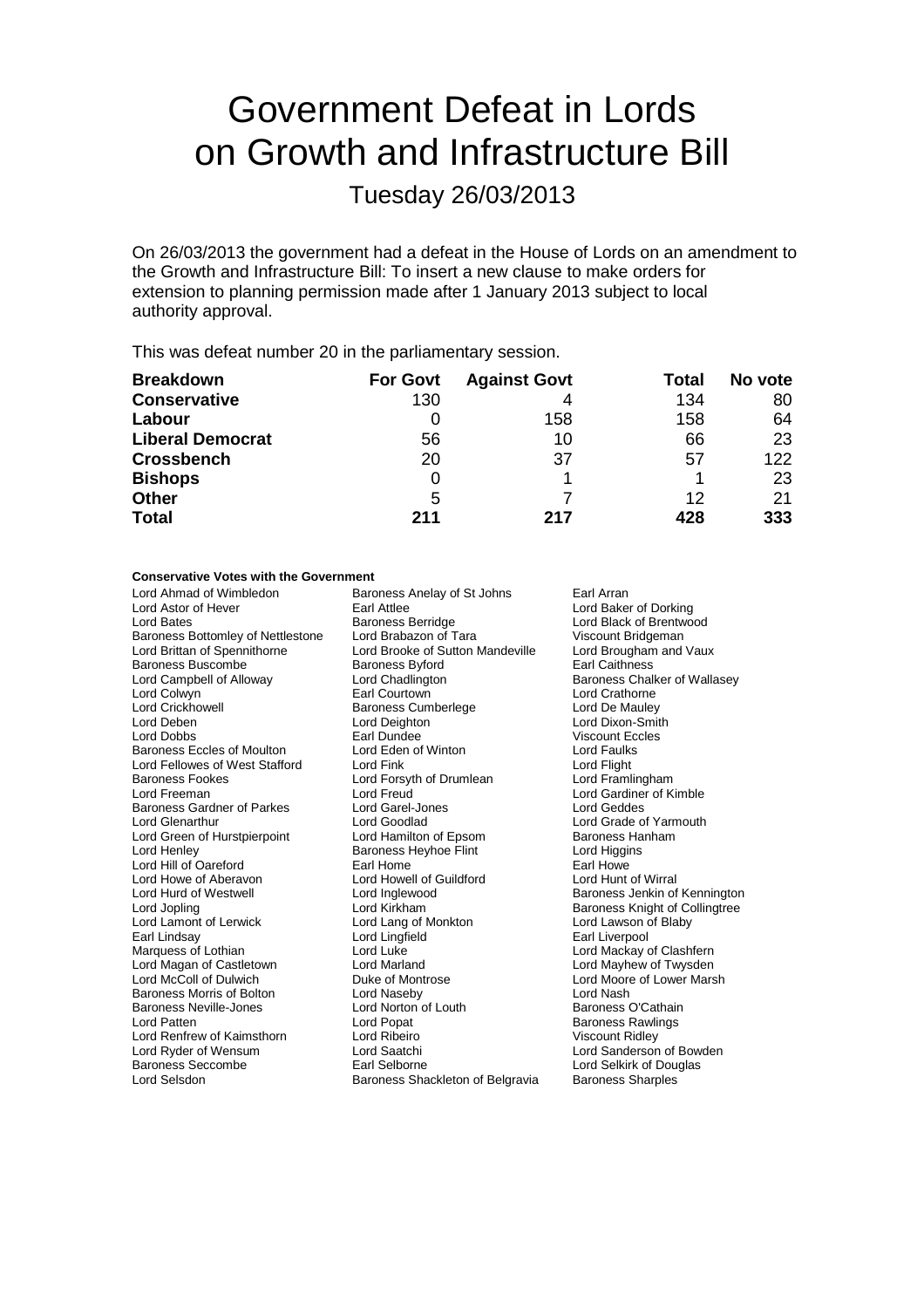# Government Defeat in Lords on Growth and Infrastructure Bill

Tuesday 26/03/2013

On 26/03/2013 the government had a defeat in the House of Lords on an amendment to the Growth and Infrastructure Bill: To insert a new clause to make orders for extension to planning permission made after 1 January 2013 subject to local authority approval.

This was defeat number 20 in the parliamentary session.

| <b>Breakdown</b>        | <b>For Govt</b> | <b>Against Govt</b> | Total | No vote |
|-------------------------|-----------------|---------------------|-------|---------|
| <b>Conservative</b>     | 130             |                     | 134   | 80      |
| Labour                  |                 | 158                 | 158   | 64      |
| <b>Liberal Democrat</b> | 56              | 10                  | 66    | 23      |
| <b>Crossbench</b>       | 20              | 37                  | 57    | 122     |
| <b>Bishops</b>          | 0               |                     |       | 23      |
| <b>Other</b>            | 5               |                     | 12    | 21      |
| <b>Total</b>            | 211             | 217                 | 428   | 333     |

#### **Conservative Votes with the Government**

Lord Ahmad of Wimbledon Baroness Anelay of St Johns Earl Arran<br>Lord Astor of Hever Earl Attlee Earl Attlee Lord Astor of Hever Earl Attlee Lord Baker of Dorking Baroness Bottomley of Nettlestone Lord Brabazon of Tara Viscount Bridgeman<br>
Lord Brittan of Spennithorne Lord Brooke of Sutton Mandeville Lord Brougham and Vaux Baroness Buscombe<br>
Lord Campbell of Alloway<br>
Lord Chadlington Lord Campbell of Alloway **Lord Chadlington** Challes Baroness Chalker of Wallasey<br>
Lord Colwyn **Baroness** Earl Courtown **Baroness** Lord Crathorne Lord Colwyn **Earl Courtown**<br>
Lord Crickhowell **Earl Courtown**<br>
Baroness Cumberlege **Early Communist Communist Communist Communist Communist Communist Communist Communist Communist Communist Communist Communist Communist Co** Lord Crickhowell **Baroness Cumberlege**<br>
Lord Deben<br>
Lord Deighton Lord Deben Lord Deighton Lord Dixon-Smith Baroness Eccles of Moulton Lord Eden of Winton Cord Faulks<br>
Lord Fellowes of West Stafford Lord Fink Cord Fught Lord Fellowes of West Stafford Lord Fink Lord Funch Lord Flight<br>
Lord Forsyth of Drumlean Lord Framlingham Baroness Fookes **Lord Forsyth of Drumlean**<br>Lord Freeman Lord Freud Baroness Gardner of Parkes Lord Garel-Jones Lord General Act Cord Goodlad Lord Green of Hurstpierpoint Lord Hamilton of Epsom Baroness Hannicon Baroness Hangins<br>
Lord Henley Baroness Heyhoe Flint Lord Higgins Lord Hill of Oareford Lord Howe of Aberavon Lord Howell of Guildford Lord Hunt of Wirral<br>Lord Hurd of Westwell Lord Inglewood Lord Aberace Baroness Jenkin of Lord Hurd of Westwell Lord Inglewood Baroness Jenkin of Kennington Lord Jopling Lord Kirkham Lord Kirkham Baroness Knight of Collingtree<br>
Lord Lamont of Lerwick Lord Lang of Monkton Lord Lawson of Blaby Lord Lamont of Lerwick Lord Lang of Monkton<br>
Earl Lindsay Lord Lingfield Earl Lindsay **Carl Lord Lingfield** Earl Liverpool Cord Lingfield Earl Liverpool<br>
Marquess of Lothian **Earl Lingfield** Lord Luke Lord Mackay of Lord Mackay of Lord Mackay of Lord Mackay of Lord Lord Magan of Castletown Lord Marland<br>
Lord McColl of Dulwich Duke of Montrose Baroness Morris of Bolton **Lord Naseby** Lord Naseby **Lord Nash Lord Nash Lord Nash Lord Nash Cathain**<br>
Baroness Neville-Jones **Lord Norton of Louth** Baroness O'Cathain Baroness Neville-Jones **Lord Norton Cord Patten**<br>
Lord Patten **Lord Baroness** Lord Renfrew of Kaimsthorn Lord Ribeiro **Campany Communist Cord Ribeiro** Viscount Ridley<br>
Lord Ryder of Wensum Lord Saatchi Lord Sanderson Lord Ryder of Wensum Lord Saatchi Lord Sanderson of Bowden Lord Selsdon **Baroness Shackleton of Belgravia** Baroness Sharples

Baroness Berridge **Lord Black of Brentwood**<br> **Cord Brabazon of Tara** Viscount Bridgeman Lord Brooke of Sutton Mandeville Lord Brougham<br>Baroness Byford Brougham Earl Caithness Earl Dundee Viscount Eccles<br>
Lord Eden of Winton<br>
Lord Faulks Lord Freud Lord Gardiner of Kimble<br>
Lord Garel-Jones<br>
Lord Geddes Lord Goodlad **Lord Grade of Yarmouth**<br>
Lord Hamilton of Epsom **Baroness Hanham** Baroness Heyhoe Flint Lord Higging Lord Higgins<br>Earl Home Lord Luke<br>Lord Marland Lord Mackay of Clashfern<br>Lord Marland Lord Mayhew of Twysden Duke of Montrose **Lord Moore of Lower Marsh**<br>
Lord Naseby Lord Nash

**Baroness Rawlings** Lord Selkirk of Douglas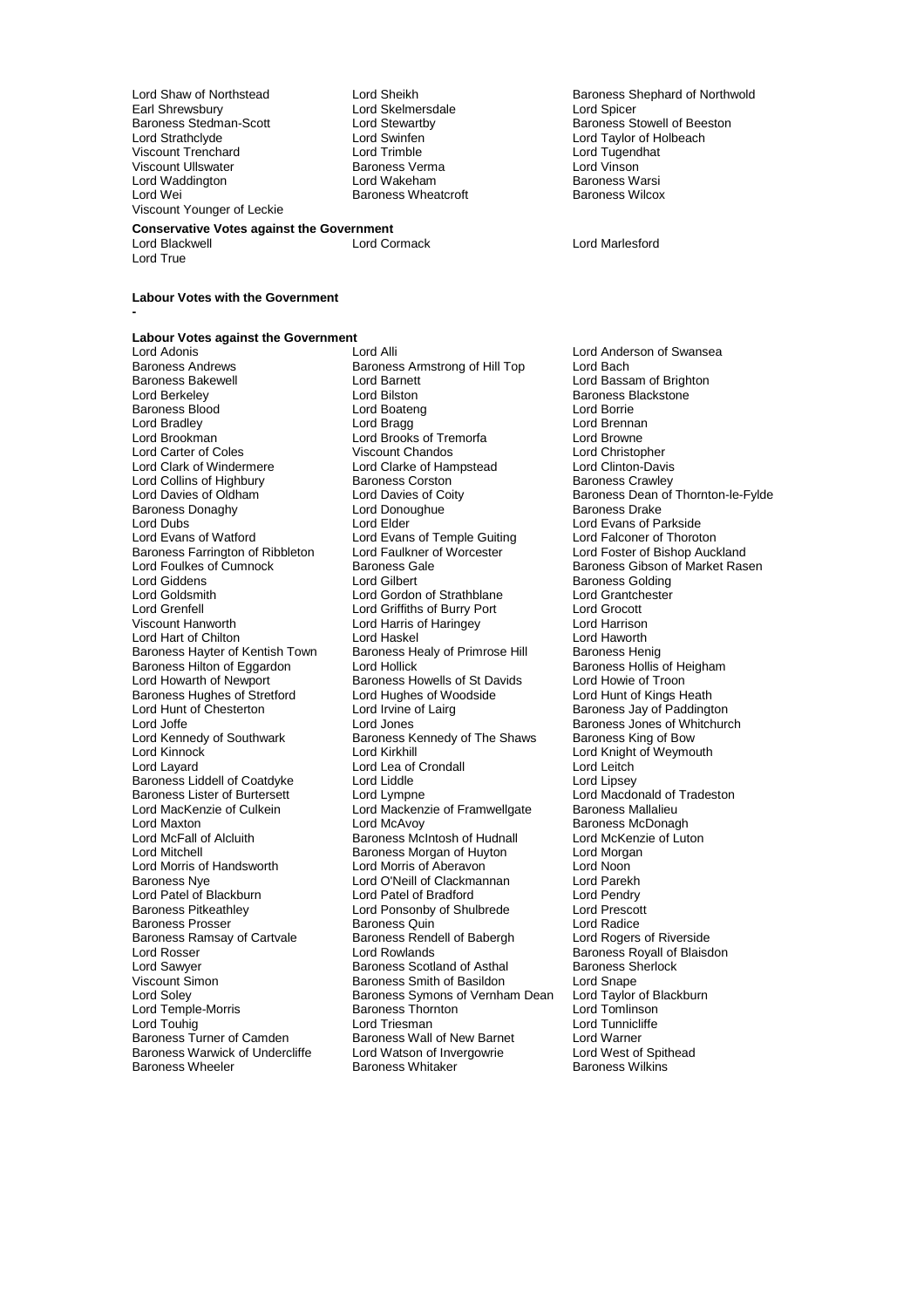Earl Shrewsbury **Lord Skelmersdale**<br> **Baroness Stedman-Scott Lord Stewartby** Viscount Trenchard Lord Trimble Lord Tugendhat Viscount Ullswater Baroness Verma Lord Vinson Lord Waddington **Lord Wakeham** Baroness Warsi<br>
Lord Wei **Baroness Wheatcroft** Baroness Wilcox Viscount Younger of Leckie

Baroness Wheatcroft

## **Conservative Votes against the Government**

#### **Labour Votes with the Government**

**-**

Lord True

### **Labour Votes against the Government**

Baroness Andrews **Baroness Armstrong of Hill Top**<br>Baroness Bakewell **Baroness** Lord Barnett Lord Collins of Highbury Baroness Corston<br>
Lord Davies of Oldham<br>
Lord Davies of Coity Baroness Donaghy **Lord Donoughue Baroness Donaghy Lord Donoughlum**<br>
Lord Dubs **Lord Elder** Baroness Farrington of Ribbleton Lord Faulkner c<br>Lord Foulkes of Cumnock Baroness Gale Baroness Hughes of Stretford Lord Hughes of Woodside Lord Hunt of Chesterton Lord Irvine of Lairg Baroness Liddell of Coatdyke Lord Liddle<br>
Baroness Lister of Burtersett Lord Lympne Lord MacKenzie of Culkein Lord Mackenzie of Framwellgate<br>Lord Maxton Lord McAvoy Baroness Ramsay of Cartvale Baroness Rend<br>
Lord Rosser Cord Rowlands Lord Temple-Morris Baroness Warwick of Undercliffe Lord Watson of Invergorian Lord West of Lord West of Networks Charles Baroness Whitaker

Lord Adonis **Lord Alli** Lord Alli Lord Anderson of Swansea<br>
Baroness Andrews **Baroness Armstrong of Hill Top** Lord Bach Baroness Bakewell **Example 2 Lord Baroness Bakewell**<br>
Lord Baroness Blackstone<br>
Lord Baroness Blackstone<br>
Lord Baroness Blackstone Lord Bilston **Baroness Blackstone**<br>
Lord Boateng<br>
Lord Borrie Baroness Blood Lord Boateng Lord Borrie Lord Bradley Lord Bragg Lord Brennan Lord Brookman Lord Brooks of Tremorfa Lord Browne Lord Carter of Coles **Viscount Chandos** Cord Chandos Lord Christopher<br>
Lord Clark of Windermere Lord Clarke of Hampstead Lord Clinton-Davis Lord Clarke of Hampstead<br>Baroness Corston Express Corston<br>
Lord Davies of Coity Baroness Dean of Thornton-le-Fylde<br>
Lord Donoughue Baroness Drake<br>
Lord Donoughue Baroness Drake Lord Dubs<br>
Lord Evans of Watford<br>
Lord Evans of Watford Lord Evans of Temple Guiting<br>
Lord Evans of Watford Lord Evans of Temple Guiting<br>
Lord Evans of Watford Lord Evans of Temple Guiting Lord Falconer of Thoroton<br>
Lord Faulkner of Worcester Lord Foster of Bishop Auckland Lord Foulkes of Cumnock Baroness Gale Baroness Gale Baroness Gibson of Market Rasen<br>
Baroness Golding<br>
Baroness Golding Lord Giddens **Lord Gilbert** Communist Communist Communist Communist Communist Communist Communist Communist Communist Communist Communist Communist Communist Communist Communist Communist Communist Communist Communist Comm Lord Goldsmith **Lord Gordon of Strathblane** Lord Grantch<br>
Lord Grenfell **Lord Grantchester Cord Grantchester Cord Grantchester Cord Grantchester Cord Grantchester Cord Grantchester Cord Grantchester Cord Grantchester Cord** Lord Grenfell Lord Griffiths of Burry Port Lord Grocott Lord Harris of Haringey **Lord Harrison**<br>
Lord Haskel **Lord Haworth** Lord Hart of Chilton **Lord Haskel** Lord Haskel Lord Haworth Lord Haworth Cord Haworth Lord Haworth Lord Haworth Baroness Henig Baroness Hayter of Kentish Town Baroness Healy of Primrose Hill Baroness Henig<br>Baroness Hilton of Eggardon Lord Hollick Baroness Hollis of Heigham Baroness Hilton of Eggardon Lord Hollick Baroness Hollis of Heigham Baroness Hollis of Hollis of Hollis of Hollis of H<br>Lord Howarth of Newport Baroness Howells of St Davids Lord Howie of Troon Baroness Howells of St Davids<br>
Lord Hughes of Woodside<br>
Lord Hunt of Kings Heath Lord Hunt of Chesterton Lord Irvine of Lairg Baroness Jay of Paddington<br>Lord Joffe Chesterton Lord Jones Lord Saroness Jones of Whitchur Lord Joffe Lord Jones<br>
Lord Jones Communist Corporation Baroness Inness Jones of Whitchurch<br>
Lord Kennedy of Southwark Baroness Kennedy of The Shaws Baroness King of Bow Lord Kennedy of Southwark Baroness Kennedy of The Shaws<br>
Lord Kinnock Corol Christ Lord Kirkhill Lord Kinnock **Lord Kirkhill** Lord Kirkhill Lord Knight of Weymouth<br>
Lord Layard **Lord Lea of Crondall** Lord Leitch Lord Lea of Crondall Lord Leitch<br>
Lord Liddle Lord Lipsey Baroness Lister of Burtersett Lord Lympne Lord Macdonald of Tradeston<br>
Lord MacKenzie of Culkein Lord Mackenzie of Framwellgate Baroness Mallalieu Lord Maxton Lord McAvoy Cord McAvoy Caroness McDonagh<br>Cord McFall of Alcluith Caroness McIntosh of Hudnall Lord McKenzie of Luton Baroness McIntosh of Hudnall Lord Mitchell **Baroness Morgan of Huyton** Lord Morgan Lord Morgan Lord Morgan Lord Morgan Lord Morgan Lord Morgan Lord Morris of Handsworth Lord Morris of Aberavon Lord Noon Lord O'Neill of Clackmannan Lord Parekh<br>
Lord Patel of Bradford Lord Pendry Lord Patel of Blackburn Lord Patel of Bradford Lord Pendry Lord Ponsonby of Shulbrede Lord Prescott Lord Australian Lord Radice Baroness Prosser **Baroness Quin**<br>
Baroness Ramsay of Cartvale Baroness Rendell of Babergh **Baroness Ramsay of Cartyale Baroness Rendell** of Babergh Lord Rosser The Lord Rowlands Corporation of Blaisdon<br>
Lord Sawver **Baroness Scotland of Asthal**<br>
Baroness Sherlock Lord Sawyer **Baroness Scotland of Asthal** Baroness Scotland of Asthal Baroness Sherlock Baroness Sherlock Basidon Viscount Simon **Carolic Structure Structure Section** Baroness Smith of Basildon Lord Snape<br>Lord Soley **Carolic Structure Baroness Symons of Vernham Dean** Lord Taylor of Blackburn Baroness Symons of Vernham Dean Lord Taylor of B<br>Baroness Thornton Lord Tomlinson Lord Touhig Lord Triesman Lord Triesman Lord Tunnicliffe<br>
Baroness Turner of Camden Baroness Wall of New Barnet Lord Warner Baroness Wall of New Barnet Lord Warner<br>
Lord Watson of Invergowrie Lord West of Spithead

Lord Shaw of Northstead **Lord Sheikh Baroness Shephard of Northwold**<br>
Earl Shrewsbury **Baroness Shephard of Northwold**<br>
Lord Skelmersdale **Baroness Shephard of Northwold** Baroness Stedman-Scott **Lord Stewartby** Baroness Stowell of Beeston<br>
Lord Strathclyde **Baroness** Stowell of Beeston<br>
Lord Strathclyde **Baroness** Stowell of Beeston Lord Swinfen **Lord Taylor of Holbeach**<br>
Lord Trimble **Lord Trugendhat** 

Lord Marlesford

Baroness Wilkins